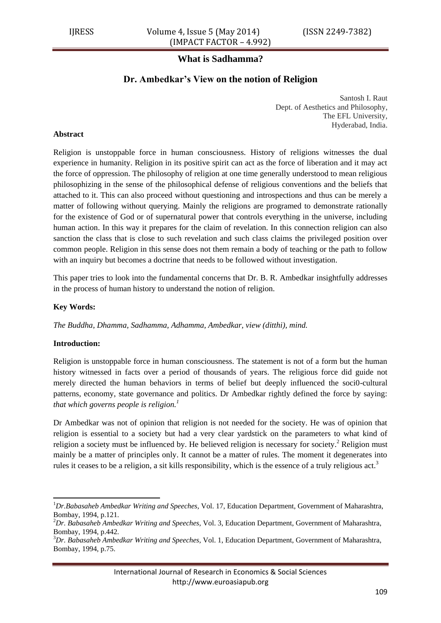# **What is Sadhamma?**

# **Dr. Ambedkar's View on the notion of Religion**

Santosh I. Raut Dept. of Aesthetics and Philosophy, The EFL University, Hyderabad, India.

### **Abstract**

Religion is unstoppable force in human consciousness. History of religions witnesses the dual experience in humanity. Religion in its positive spirit can act as the force of liberation and it may act the force of oppression. The philosophy of religion at one time generally understood to mean religious philosophizing in the sense of the philosophical defense of religious conventions and the beliefs that attached to it. This can also proceed without questioning and introspections and thus can be merely a matter of following without querying. Mainly the religions are programed to demonstrate rationally for the existence of God or of supernatural power that controls everything in the universe, including human action. In this way it prepares for the claim of revelation. In this connection religion can also sanction the class that is close to such revelation and such class claims the privileged position over common people. Religion in this sense does not them remain a body of teaching or the path to follow with an inquiry but becomes a doctrine that needs to be followed without investigation.

This paper tries to look into the fundamental concerns that Dr. B. R. Ambedkar insightfully addresses in the process of human history to understand the notion of religion.

#### **Key Words:**

*The Buddha, Dhamma, Sadhamma, Adhamma, Ambedkar, view (ditthi), mind.* 

#### **Introduction:**

**.** 

Religion is unstoppable force in human consciousness. The statement is not of a form but the human history witnessed in facts over a period of thousands of years. The religious force did guide not merely directed the human behaviors in terms of belief but deeply influenced the soci0-cultural patterns, economy, state governance and politics. Dr Ambedkar rightly defined the force by saying: *that which governs people is religion.<sup>1</sup>*

Dr Ambedkar was not of opinion that religion is not needed for the society. He was of opinion that religion is essential to a society but had a very clear yardstick on the parameters to what kind of religion a society must be influenced by. He believed religion is necessary for society.<sup>2</sup> Religion must mainly be a matter of principles only. It cannot be a matter of rules. The moment it degenerates into rules it ceases to be a religion, a sit kills responsibility, which is the essence of a truly religious act.<sup>3</sup>

<sup>1</sup>*Dr.Babasaheb Ambedkar Writing and Speeches,* Vol. 17, Education Department, Government of Maharashtra, Bombay, 1994, p.121.

<sup>2</sup>*Dr. Babasaheb Ambedkar Writing and Speeches,* Vol. 3, Education Department, Government of Maharashtra, Bombay, 1994, p.442.

<sup>3</sup>*Dr. Babasaheb Ambedkar Writing and Speeches,* Vol. 1, Education Department, Government of Maharashtra, Bombay, 1994, p.75.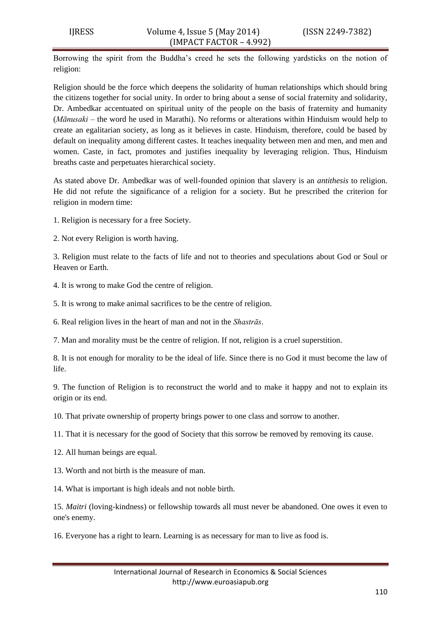Borrowing the spirit from the Buddha's creed he sets the following yardsticks on the notion of religion:

Religion should be the force which deepens the solidarity of human relationships which should bring the citizens together for social unity. In order to bring about a sense of social fraternity and solidarity, Dr. Ambedkar accentuated on spiritual unity of the people on the basis of fraternity and humanity (*Mānusaki –* the word he used in Marathi). No reforms or alterations within Hinduism would help to create an egalitarian society, as long as it believes in caste. Hinduism, therefore, could be based by default on inequality among different castes. It teaches inequality between men and men, and men and women. Caste, in fact, promotes and justifies inequality by leveraging religion. Thus, Hinduism breaths caste and perpetuates hierarchical society.

As stated above Dr. Ambedkar was of well-founded opinion that slavery is an *antithesis* to religion. He did not refute the significance of a religion for a society. But he prescribed the criterion for religion in modern time:

1. Religion is necessary for a free Society.

2. Not every Religion is worth having.

3. Religion must relate to the facts of life and not to theories and speculations about God or Soul or Heaven or Earth.

4. It is wrong to make God the centre of religion.

5. It is wrong to make animal sacrifices to be the centre of religion.

6. Real religion lives in the heart of man and not in the *Shastrās*.

7. Man and morality must be the centre of religion. If not, religion is a cruel superstition.

8. It is not enough for morality to be the ideal of life. Since there is no God it must become the law of life.

9. The function of Religion is to reconstruct the world and to make it happy and not to explain its origin or its end.

10. That private ownership of property brings power to one class and sorrow to another.

11. That it is necessary for the good of Society that this sorrow be removed by removing its cause.

12. All human beings are equal.

13. Worth and not birth is the measure of man.

14. What is important is high ideals and not noble birth.

15. *Maitri* (loving-kindness) or fellowship towards all must never be abandoned. One owes it even to one's enemy.

16. Everyone has a right to learn. Learning is as necessary for man to live as food is.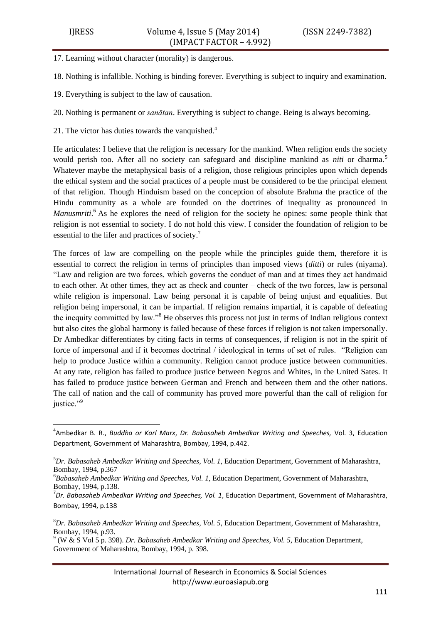**.** 

17. Learning without character (morality) is dangerous.

18. Nothing is infallible. Nothing is binding forever. Everything is subject to inquiry and examination.

- 19. Everything is subject to the law of causation.
- 20. Nothing is permanent or *sanātan*. Everything is subject to change. Being is always becoming.
- 21. The victor has duties towards the vanquished.<sup>4</sup>

He articulates: I believe that the religion is necessary for the mankind. When religion ends the society would perish too. After all no society can safeguard and discipline mankind as *niti* or dharma.<sup>5</sup> Whatever maybe the metaphysical basis of a religion, those religious principles upon which depends the ethical system and the social practices of a people must be considered to be the principal element of that religion. Though Hinduism based on the conception of absolute Brahma the practice of the Hindu community as a whole are founded on the doctrines of inequality as pronounced in Manusmriti.<sup>6</sup> As he explores the need of religion for the society he opines: some people think that religion is not essential to society. I do not hold this view. I consider the foundation of religion to be essential to the lifer and practices of society.<sup>7</sup>

The forces of law are compelling on the people while the principles guide them, therefore it is essential to correct the religion in terms of principles than imposed views (*ditti*) or rules (niyama). ―Law and religion are two forces, which governs the conduct of man and at times they act handmaid to each other. At other times, they act as check and counter – check of the two forces, law is personal while religion is impersonal. Law being personal it is capable of being unjust and equalities. But religion being impersonal, it can be impartial. If religion remains impartial, it is capable of defeating the inequity committed by law."<sup>8</sup> He observes this process not just in terms of Indian religious context but also cites the global harmony is failed because of these forces if religion is not taken impersonally. Dr Ambedkar differentiates by citing facts in terms of consequences, if religion is not in the spirit of force of impersonal and if it becomes doctrinal / ideological in terms of set of rules. "Religion can help to produce Justice within a community. Religion cannot produce justice between communities. At any rate, religion has failed to produce justice between Negros and Whites, in the United Sates. It has failed to produce justice between German and French and between them and the other nations. The call of nation and the call of community has proved more powerful than the call of religion for justice."9

<sup>6</sup>*Babasaheb Ambedkar Writing and Speeches, Vol. 1*, Education Department, Government of Maharashtra, Bombay, 1994, p.138.

<sup>4</sup> Ambedkar B. R., *Buddha or Karl Marx*, *Dr. Babasaheb Ambedkar Writing and Speeches,* Vol. 3, Education Department, Government of Maharashtra, Bombay, 1994, p.442.

<sup>5</sup>*Dr. Babasaheb Ambedkar Writing and Speeches, Vol. 1*, Education Department, Government of Maharashtra, Bombay, 1994, p.367

<sup>7</sup> *Dr. Babasaheb Ambedkar Writing and Speeches, Vol. 1*, Education Department, Government of Maharashtra, Bombay, 1994, p.138

<sup>8</sup>*Dr. Babasaheb Ambedkar Writing and Speeches, Vol. 5*, Education Department, Government of Maharashtra, Bombay, 1994, p.93.

<sup>9</sup> (W & S Vol 5 p. 398). *Dr. Babasaheb Ambedkar Writing and Speeches, Vol. 5*, Education Department, Government of Maharashtra, Bombay, 1994, p. 398.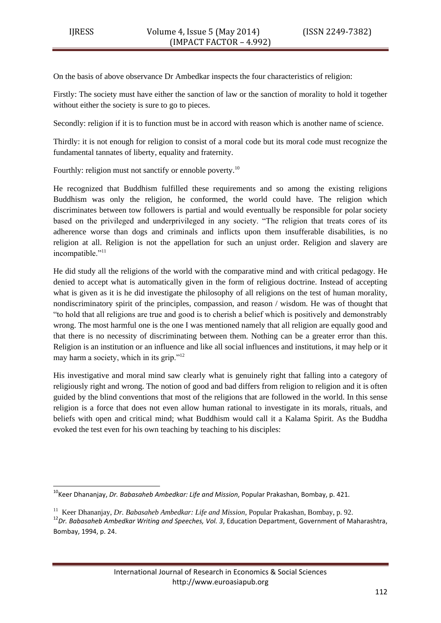**.** 

On the basis of above observance Dr Ambedkar inspects the four characteristics of religion:

Firstly: The society must have either the sanction of law or the sanction of morality to hold it together without either the society is sure to go to pieces.

Secondly: religion if it is to function must be in accord with reason which is another name of science.

Thirdly: it is not enough for religion to consist of a moral code but its moral code must recognize the fundamental tannates of liberty, equality and fraternity.

Fourthly: religion must not sanctify or ennoble poverty.<sup>10</sup>

He recognized that Buddhism fulfilled these requirements and so among the existing religions Buddhism was only the religion, he conformed, the world could have. The religion which discriminates between tow followers is partial and would eventually be responsible for polar society based on the privileged and underprivileged in any society. "The religion that treats cores of its adherence worse than dogs and criminals and inflicts upon them insufferable disabilities, is no religion at all. Religion is not the appellation for such an unjust order. Religion and slavery are incompatible."<sup>11</sup>

He did study all the religions of the world with the comparative mind and with critical pedagogy. He denied to accept what is automatically given in the form of religious doctrine. Instead of accepting what is given as it is he did investigate the philosophy of all religions on the test of human morality, nondiscriminatory spirit of the principles, compassion, and reason / wisdom. He was of thought that ―to hold that all religions are true and good is to cherish a belief which is positively and demonstrably wrong. The most harmful one is the one I was mentioned namely that all religion are equally good and that there is no necessity of discriminating between them. Nothing can be a greater error than this. Religion is an institution or an influence and like all social influences and institutions, it may help or it may harm a society, which in its grip." $12$ 

His investigative and moral mind saw clearly what is genuinely right that falling into a category of religiously right and wrong. The notion of good and bad differs from religion to religion and it is often guided by the blind conventions that most of the religions that are followed in the world. In this sense religion is a force that does not even allow human rational to investigate in its morals, rituals, and beliefs with open and critical mind; what Buddhism would call it a Kalama Spirit. As the Buddha evoked the test even for his own teaching by teaching to his disciples:

<sup>&</sup>lt;sup>10</sup>Keer Dhananjay, *Dr. Babasaheb Ambedkar: Life and Mission*, Popular Prakashan, Bombay, p. 421.

<sup>&</sup>lt;sup>11</sup> Keer Dhananjay, *Dr. Babasaheb Ambedkar: Life and Mission*, Popular Prakashan, Bombay, p. 92.

<sup>12</sup>*Dr. Babasaheb Ambedkar Writing and Speeches, Vol. 3*, Education Department, Government of Maharashtra, Bombay, 1994, p. 24.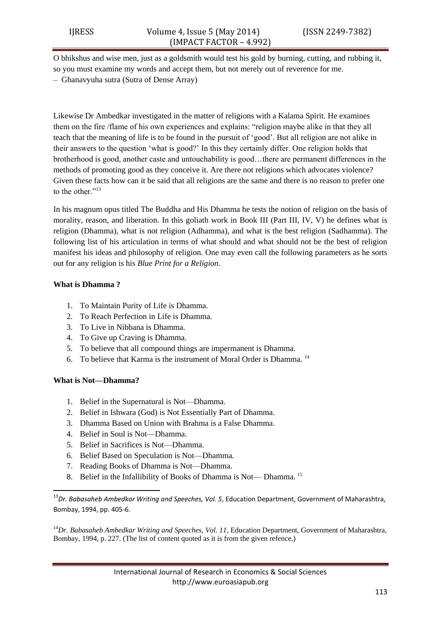O bhikshus and wise men, just as a goldsmith would test his gold by burning, cutting, and rubbing it, so you must examine my words and accept them, but not merely out of reverence for me.

– Ghanavyuha sutra (Sutra of Dense Array)

Likewise Dr Ambedkar investigated in the matter of religions with a Kalama Spirit. He examines them on the fire /flame of his own experiences and explains: "religion maybe alike in that they all teach that the meaning of life is to be found in the pursuit of ‗good'. But all religion are not alike in their answers to the question ‗what is good?' In this they certainly differ. One religion holds that brotherhood is good, another caste and untouchability is good…there are permanent differences in the methods of promoting good as they conceive it. Are there not religions which advocates violence? Given these facts how can it be said that all religions are the same and there is no reason to prefer one to the other."<sup>13</sup>

In his magnum opus titled The Buddha and His Dhamma he tests the notion of religion on the basis of morality, reason, and liberation. In this goliath work in Book III (Part III, IV, V) he defines what is religion (Dhamma), what is not religion (Adhamma), and what is the best religion (Sadhamma). The following list of his articulation in terms of what should and what should not be the best of religion manifest his ideas and philosophy of religion. One may even call the following parameters as he sorts out for any religion is his *Blue Print for a Religion*.

### **What is Dhamma ?**

- 1. To Maintain Purity of Life is Dhamma.
- 2. To Reach Perfection in Life is Dhamma.
- 3. To Live in Nibbana is Dhamma.
- 4. To Give up Craving is Dhamma.
- 5. To believe that all compound things are impermanent is Dhamma.
- 6. To believe that Karma is the instrument of Moral Order is Dhamma. <sup>14</sup>

## **What is Not—Dhamma?**

1

- 1. Belief in the Supernatural is Not—Dhamma.
- 2. Belief in Ishwara (God) is Not Essentially Part of Dhamma.
- 3. Dhamma Based on Union with Brahma is a False Dhamma.
- 4. Belief in Soul is Not—Dhamma.
- 5. Belief in Sacrifices is Not—Dhamma.
- 6. Belief Based on Speculation is Not—Dhamma.
- 7. Reading Books of Dhamma is Not—Dhamma.
- 8. Belief in the Infallibility of Books of Dhamma is Not— Dhamma. <sup>15</sup>

<sup>13</sup>*Dr. Babasaheb Ambedkar Writing and Speeches, Vol. 5*, Education Department, Government of Maharashtra, Bombay, 1994, pp. 405-6.

<sup>14</sup>Dr. Babasaheb Ambedkar Writing and Speeches, Vol. 11, Education Department, Government of Maharashtra, Bombay, 1994, p. 227. (The list of content quoted as it is from the given refence.)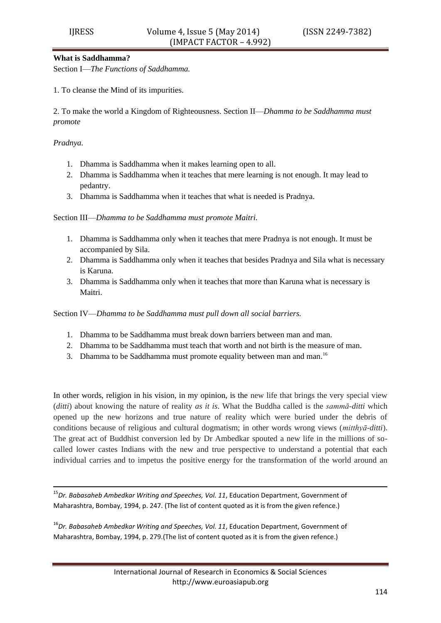#### **What is Saddhamma?**

Section I—*The Functions of Saddhamma.* 

1. To cleanse the Mind of its impurities.

2. To make the world a Kingdom of Righteousness. Section II—*Dhamma to be Saddhamma must promote* 

*Pradnya.* 

**.** 

- 1. Dhamma is Saddhamma when it makes learning open to all.
- 2. Dhamma is Saddhamma when it teaches that mere learning is not enough. It may lead to pedantry.
- 3. Dhamma is Saddhamma when it teaches that what is needed is Pradnya.

Section III—*Dhamma to be Saddhamma must promote Maitri.* 

- 1. Dhamma is Saddhamma only when it teaches that mere Pradnya is not enough. It must be accompanied by Sila.
- 2. Dhamma is Saddhamma only when it teaches that besides Pradnya and Sila what is necessary is Karuna.
- 3. Dhamma is Saddhamma only when it teaches that more than Karuna what is necessary is Maitri.

Section IV—*Dhamma to be Saddhamma must pull down all social barriers.* 

- 1. Dhamma to be Saddhamma must break down barriers between man and man.
- 2. Dhamma to be Saddhamma must teach that worth and not birth is the measure of man.
- 3. Dhamma to be Saddhamma must promote equality between man and man.<sup>16</sup>

In other words, religion in his vision, in my opinion, is the new life that brings the very special view (*ditti*) about knowing the nature of reality *as it is*. What the Buddha called is the *sammā-ditti* which opened up the new horizons and true nature of reality which were buried under the debris of conditions because of religious and cultural dogmatism; in other words wrong views (*mitthyā-ditti*). The great act of Buddhist conversion led by Dr Ambedkar spouted a new life in the millions of socalled lower castes Indians with the new and true perspective to understand a potential that each individual carries and to impetus the positive energy for the transformation of the world around an

<sup>15</sup>*Dr. Babasaheb Ambedkar Writing and Speeches, Vol. 11*, Education Department, Government of Maharashtra, Bombay, 1994, p. 247. (The list of content quoted as it is from the given refence.)

<sup>16</sup>*Dr. Babasaheb Ambedkar Writing and Speeches, Vol. 11*, Education Department, Government of Maharashtra, Bombay, 1994, p. 279.(The list of content quoted as it is from the given refence.)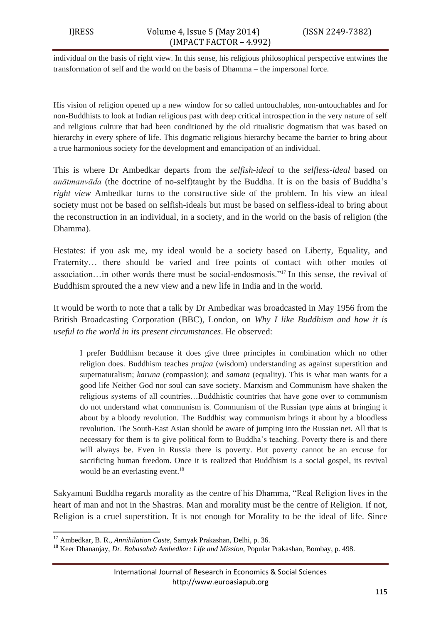individual on the basis of right view. In this sense, his religious philosophical perspective entwines the transformation of self and the world on the basis of Dhamma – the impersonal force.

His vision of religion opened up a new window for so called untouchables, non-untouchables and for non-Buddhists to look at Indian religious past with deep critical introspection in the very nature of self and religious culture that had been conditioned by the old ritualistic dogmatism that was based on hierarchy in every sphere of life. This dogmatic religious hierarchy became the barrier to bring about a true harmonious society for the development and emancipation of an individual.

This is where Dr Ambedkar departs from the *selfish-ideal* to the *selfless-ideal* based on *anātmanvāda* (the doctrine of no-self)taught by the Buddha. It is on the basis of Buddha's *right view* Ambedkar turns to the constructive side of the problem. In his view an ideal society must not be based on selfish-ideals but must be based on selfless-ideal to bring about the reconstruction in an individual, in a society, and in the world on the basis of religion (the Dhamma).

Hestates: if you ask me, my ideal would be a society based on Liberty, Equality, and Fraternity… there should be varied and free points of contact with other modes of association... in other words there must be social-endosmosis.<sup> $217$ </sup> In this sense, the revival of Buddhism sprouted the a new view and a new life in India and in the world.

It would be worth to note that a talk by Dr Ambedkar was broadcasted in May 1956 from the British Broadcasting Corporation (BBC), London, on *Why I like Buddhism and how it is useful to the world in its present circumstances*. He observed:

I prefer Buddhism because it does give three principles in combination which no other religion does. Buddhism teaches *prajna* (wisdom) understanding as against superstition and supernaturalism; *karuna* (compassion); and *samata* (equality). This is what man wants for a good life Neither God nor soul can save society. Marxism and Communism have shaken the religious systems of all countries…Buddhistic countries that have gone over to communism do not understand what communism is. Communism of the Russian type aims at bringing it about by a bloody revolution. The Buddhist way communism brings it about by a bloodless revolution. The South-East Asian should be aware of jumping into the Russian net. All that is necessary for them is to give political form to Buddha's teaching. Poverty there is and there will always be. Even in Russia there is poverty. But poverty cannot be an excuse for sacrificing human freedom. Once it is realized that Buddhism is a social gospel, its revival would be an everlasting event.<sup>18</sup>

Sakyamuni Buddha regards morality as the centre of his Dhamma, "Real Religion lives in the heart of man and not in the Shastras. Man and morality must be the centre of Religion. If not, Religion is a cruel superstition. It is not enough for Morality to be the ideal of life. Since

**<sup>.</sup>** <sup>17</sup> Ambedkar, B. R., *Annihilation Caste*, Samyak Prakashan, Delhi, p. 36.

<sup>18</sup> Keer Dhananjay, *Dr. Babasaheb Ambedkar: Life and Mission*, Popular Prakashan, Bombay, p. 498.